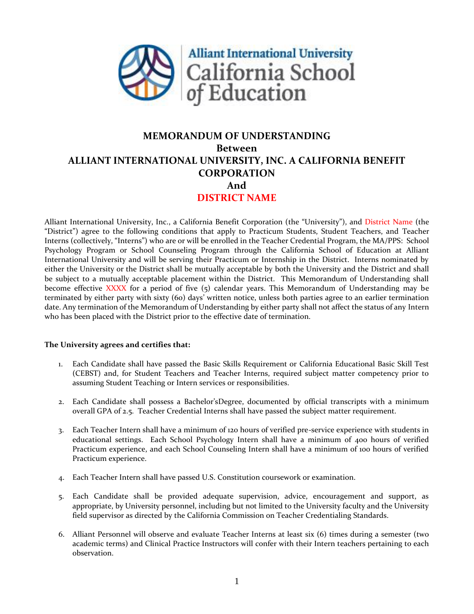

# **MEMORANDUM OF UNDERSTANDING Between ALLIANT INTERNATIONAL UNIVERSITY, INC. A CALIFORNIA BENEFIT CORPORATION And DISTRICT NAME**

Alliant International University, Inc., a California Benefit Corporation (the "University"), and District Name (the "District") agree to the following conditions that apply to Practicum Students, Student Teachers, and Teacher Interns (collectively, "Interns") who are or will be enrolled in the Teacher Credential Program, the MA/PPS: School Psychology Program or School Counseling Program through the California School of Education at Alliant International University and will be serving their Practicum or Internship in the District. Interns nominated by either the University or the District shall be mutually acceptable by both the University and the District and shall be subject to a mutually acceptable placement within the District. This Memorandum of Understanding shall become effective XXXX for a period of five (5) calendar years. This Memorandum of Understanding may be terminated by either party with sixty (60) days' written notice, unless both parties agree to an earlier termination date. Any termination of the Memorandum of Understanding by either party shall not affect the status of any Intern who has been placed with the District prior to the effective date of termination.

#### **The University agrees and certifies that:**

- 1. Each Candidate shall have passed the Basic Skills Requirement or California Educational Basic Skill Test (CEBST) and, for Student Teachers and Teacher Interns, required subject matter competency prior to assuming Student Teaching or Intern services or responsibilities.
- 2. Each Candidate shall possess a Bachelor'sDegree, documented by official transcripts with a minimum overall GPA of 2.5. Teacher Credential Interns shall have passed the subject matter requirement.
- 3. Each Teacher Intern shall have a minimum of 120 hours of verified pre-service experience with students in educational settings. Each School Psychology Intern shall have a minimum of 400 hours of verified Practicum experience, and each School Counseling Intern shall have a minimum of 100 hours of verified Practicum experience.
- 4. Each Teacher Intern shall have passed U.S. Constitution coursework or examination.
- 5. Each Candidate shall be provided adequate supervision, advice, encouragement and support, as appropriate, by University personnel, including but not limited to the University faculty and the University field supervisor as directed by the California Commission on Teacher Credentialing Standards.
- 6. Alliant Personnel will observe and evaluate Teacher Interns at least six (6) times during a semester (two academic terms) and Clinical Practice Instructors will confer with their Intern teachers pertaining to each observation.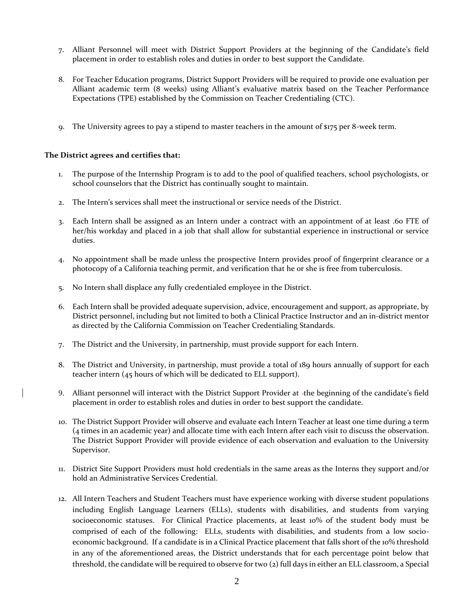- 7. Alliant Personnel will meet with District Support Providers at the beginning of the Candidate's field placement in order to establish roles and duties in order to best support the Candidate.
- 8. For Teacher Education programs, District Support Providers will be required to provide one evaluation per Alliant academic term (8 weeks) using Alliant's evaluative matrix based on the Teacher Performance Expectations (TPE) established by the Commission on Teacher Credentialing (CTC).
- 9. The University agrees to pay a stipend to master teachers in the amount of \$175 per 8-week term.

### **The District agrees and certifies that:**

- 1. The purpose of the Internship Program is to add to the pool of qualified teachers, school psychologists, or school counselors that the District has continually sought to maintain.
- 2. The Intern's services shall meet the instructional or service needs of the District.
- 3. Each Intern shall be assigned as an Intern under a contract with an appointment of at least .60 FTE of her/his workday and placed in a job that shall allow for substantial experience in instructional or service duties.
- 4. No appointment shall be made unless the prospective Intern provides proof of fingerprint clearance or a photocopy of a California teaching permit, and verification that he or she is free from tuberculosis.
- 5. No Intern shall displace any fully credentialed employee in the District.
- 6. Each Intern shall be provided adequate supervision, advice, encouragement and support, as appropriate, by District personnel, including but not limited to both a Clinical Practice Instructor and an in-district mentor as directed by the California Commission on Teacher Credentialing Standards.
- 7. The District and the University, in partnership, must provide support for each Intern.
- 8. The District and University, in partnership, must provide a total of 189 hours annually of support for each teacher intern (45 hours of which will be dedicated to ELL support).
- 9. Alliant personnel will interact with the District Support Provider at the beginning of the candidate's field placement in order to establish roles and duties in order to best support the candidate.
- 10. The District Support Provider will observe and evaluate each Intern Teacher at least one time during a term (4 times in an academic year) and allocate time with each Intern after each visit to discuss the observation. The District Support Provider will provide evidence of each observation and evaluation to the University Supervisor.
- 11. District Site Support Providers must hold credentials in the same areas as the Interns they support and/or hold an Administrative Services Credential.
- 12. All Intern Teachers and Student Teachers must have experience working with diverse student populations including English Language Learners (ELLs), students with disabilities, and students from varying socioeconomic statuses. For Clinical Practice placements, at least 10% of the student body must be comprised of each of the following: ELLs, students with disabilities, and students from a low socioeconomic background. If a candidate is in a Clinical Practice placement that falls short of the 10% threshold in any of the aforementioned areas, the District understands that for each percentage point below that threshold, the candidate will be required to observe for two (2) full days in either an ELL classroom, a Special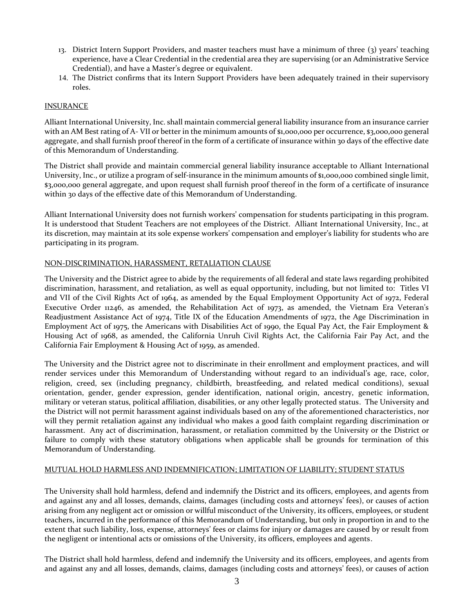- 13. District Intern Support Providers, and master teachers must have a minimum of three (3) years' teaching experience, have a Clear Credential in the credential area they are supervising (or an Administrative Service Credential), and have a Master's degree or equivalent.
- 14. The District confirms that its Intern Support Providers have been adequately trained in their supervisory roles.

#### INSURANCE

Alliant International University, Inc. shall maintain commercial general liability insurance from an insurance carrier with an AM Best rating of A-VII or better in the minimum amounts of \$1,000,000 per occurrence, \$3,000,000 general aggregate, and shall furnish proof thereof in the form of a certificate of insurance within 30 days of the effective date of this Memorandum of Understanding.

The District shall provide and maintain commercial general liability insurance acceptable to Alliant International University, Inc., or utilize a program of self-insurance in the minimum amounts of \$1,000,000 combined single limit, \$3,000,000 general aggregate, and upon request shall furnish proof thereof in the form of a certificate of insurance within 30 days of the effective date of this Memorandum of Understanding.

Alliant International University does not furnish workers' compensation for students participating in this program. It is understood that Student Teachers are not employees of the District. Alliant International University, Inc., at its discretion, may maintain at its sole expense workers' compensation and employer's liability for students who are participating in its program.

### NON-DISCRIMINATION, HARASSMENT, RETALIATION CLAUSE

The University and the District agree to abide by the requirements of all federal and state laws regarding prohibited discrimination, harassment, and retaliation, as well as equal opportunity, including, but not limited to: Titles VI and VII of the Civil Rights Act of 1964, as amended by the Equal Employment Opportunity Act of 1972, Federal Executive Order 11246, as amended, the Rehabilitation Act of 1973, as amended, the Vietnam Era Veteran's Readjustment Assistance Act of 1974, Title IX of the Education Amendments of 1972, the Age Discrimination in Employment Act of 1975, the Americans with Disabilities Act of 1990, the Equal Pay Act, the Fair Employment & Housing Act of 1968, as amended, the California Unruh Civil Rights Act, the California Fair Pay Act, and the California Fair Employment & Housing Act of 1959, as amended.

The University and the District agree not to discriminate in their enrollment and employment practices, and will render services under this Memorandum of Understanding without regard to an individual's age, race, color, religion, creed, sex (including pregnancy, childbirth, breastfeeding, and related medical conditions), sexual orientation, gender, gender expression, gender identification, national origin, ancestry, genetic information, military or veteran status, political affiliation, disabilities, or any other legally protected status. The University and the District will not permit harassment against individuals based on any of the aforementioned characteristics, nor will they permit retaliation against any individual who makes a good faith complaint regarding discrimination or harassment. Any act of discrimination, harassment, or retaliation committed by the University or the District or failure to comply with these statutory obligations when applicable shall be grounds for termination of this Memorandum of Understanding.

#### MUTUAL HOLD HARMLESS AND INDEMNIFICATION; LIMITATION OF LIABILITY; STUDENT STATUS

The University shall hold harmless, defend and indemnify the District and its officers, employees, and agents from and against any and all losses, demands, claims, damages (including costs and attorneys' fees), or causes of action arising from any negligent act or omission or willful misconduct of the University, its officers, employees, or student teachers, incurred in the performance of this Memorandum of Understanding, but only in proportion in and to the extent that such liability, loss, expense, attorneys' fees or claims for injury or damages are caused by or result from the negligent or intentional acts or omissions of the University, its officers, employees and agents.

The District shall hold harmless, defend and indemnify the University and its officers, employees, and agents from and against any and all losses, demands, claims, damages (including costs and attorneys' fees), or causes of action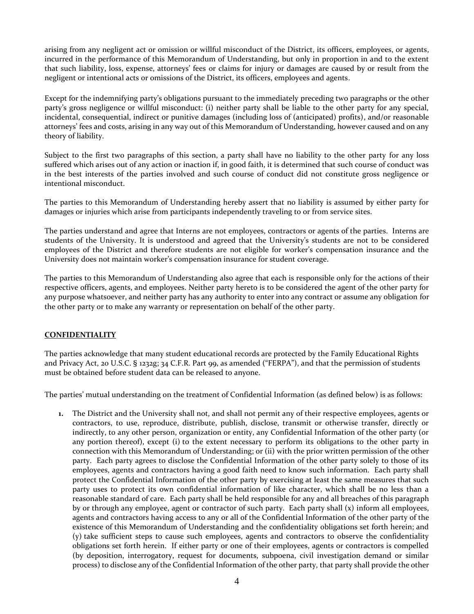arising from any negligent act or omission or willful misconduct of the District, its officers, employees, or agents, incurred in the performance of this Memorandum of Understanding, but only in proportion in and to the extent that such liability, loss, expense, attorneys' fees or claims for injury or damages are caused by or result from the negligent or intentional acts or omissions of the District, its officers, employees and agents.

Except for the indemnifying party's obligations pursuant to the immediately preceding two paragraphs or the other party's gross negligence or willful misconduct: (i) neither party shall be liable to the other party for any special, incidental, consequential, indirect or punitive damages (including loss of (anticipated) profits), and/or reasonable attorneys' fees and costs, arising in any way out of this Memorandum of Understanding, however caused and on any theory of liability.

Subject to the first two paragraphs of this section, a party shall have no liability to the other party for any loss suffered which arises out of any action or inaction if, in good faith, it is determined that such course of conduct was in the best interests of the parties involved and such course of conduct did not constitute gross negligence or intentional misconduct.

The parties to this Memorandum of Understanding hereby assert that no liability is assumed by either party for damages or injuries which arise from participants independently traveling to or from service sites.

The parties understand and agree that Interns are not employees, contractors or agents of the parties. Interns are students of the University. It is understood and agreed that the University's students are not to be considered employees of the District and therefore students are not eligible for worker's compensation insurance and the University does not maintain worker's compensation insurance for student coverage.

The parties to this Memorandum of Understanding also agree that each is responsible only for the actions of their respective officers, agents, and employees. Neither party hereto is to be considered the agent of the other party for any purpose whatsoever, and neither party has any authority to enter into any contract or assume any obligation for the other party or to make any warranty or representation on behalf of the other party.

## **CONFIDENTIALITY**

The parties acknowledge that many student educational records are protected by the Family Educational Rights and Privacy Act, 20 U.S.C. § 1232g; 34 C.F.R. Part 99, as amended ("FERPA"), and that the permission of students must be obtained before student data can be released to anyone.

The parties' mutual understanding on the treatment of Confidential Information (as defined below) is as follows:

**1.** The District and the University shall not, and shall not permit any of their respective employees, agents or contractors, to use, reproduce, distribute, publish, disclose, transmit or otherwise transfer, directly or indirectly, to any other person, organization or entity, any Confidential Information of the other party (or any portion thereof), except (i) to the extent necessary to perform its obligations to the other party in connection with this Memorandum of Understanding; or (ii) with the prior written permission of the other party. Each party agrees to disclose the Confidential Information of the other party solely to those of its employees, agents and contractors having a good faith need to know such information. Each party shall protect the Confidential Information of the other party by exercising at least the same measures that such party uses to protect its own confidential information of like character, which shall be no less than a reasonable standard of care. Each party shall be held responsible for any and all breaches of this paragraph by or through any employee, agent or contractor of such party. Each party shall (x) inform all employees, agents and contractors having access to any or all of the Confidential Information of the other party of the existence of this Memorandum of Understanding and the confidentiality obligations set forth herein; and (y) take sufficient steps to cause such employees, agents and contractors to observe the confidentiality obligations set forth herein. If either party or one of their employees, agents or contractors is compelled (by deposition, interrogatory, request for documents, subpoena, civil investigation demand or similar process) to disclose any of the Confidential Information of the other party, that party shall provide the other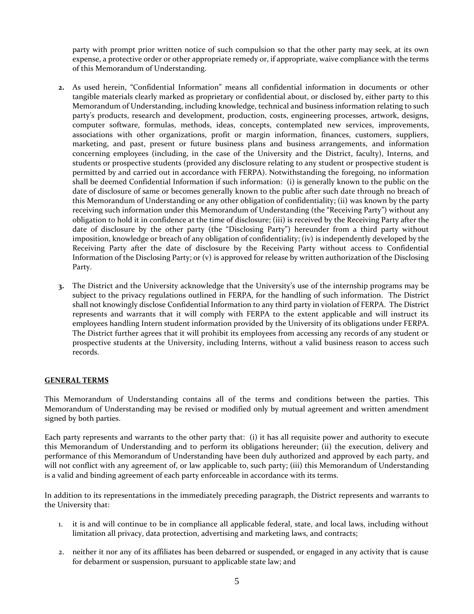party with prompt prior written notice of such compulsion so that the other party may seek, at its own expense, a protective order or other appropriate remedy or, if appropriate, waive compliance with the terms of this Memorandum of Understanding.

- **2.** As used herein, "Confidential Information" means all confidential information in documents or other tangible materials clearly marked as proprietary or confidential about, or disclosed by, either party to this Memorandum of Understanding, including knowledge, technical and business information relating to such party's products, research and development, production, costs, engineering processes, artwork, designs, computer software, formulas, methods, ideas, concepts, contemplated new services, improvements, associations with other organizations, profit or margin information, finances, customers, suppliers, marketing, and past, present or future business plans and business arrangements, and information concerning employees (including, in the case of the University and the District, faculty), Interns, and students or prospective students (provided any disclosure relating to any student or prospective student is permitted by and carried out in accordance with FERPA). Notwithstanding the foregoing, no information shall be deemed Confidential Information if such information: (i) is generally known to the public on the date of disclosure of same or becomes generally known to the public after such date through no breach of this Memorandum of Understanding or any other obligation of confidentiality; (ii) was known by the party receiving such information under this Memorandum of Understanding (the "Receiving Party") without any obligation to hold it in confidence at the time of disclosure; (iii) is received by the Receiving Party after the date of disclosure by the other party (the "Disclosing Party") hereunder from a third party without imposition, knowledge or breach of any obligation of confidentiality; (iv) is independently developed by the Receiving Party after the date of disclosure by the Receiving Party without access to Confidential Information of the Disclosing Party; or (v) is approved for release by written authorization of the Disclosing Party.
- **3.** The District and the University acknowledge that the University's use of the internship programs may be subject to the privacy regulations outlined in FERPA, for the handling of such information. The District shall not knowingly disclose Confidential Information to any third party in violation of FERPA. The District represents and warrants that it will comply with FERPA to the extent applicable and will instruct its employees handling Intern student information provided by the University of its obligations under FERPA. The District further agrees that it will prohibit its employees from accessing any records of any student or prospective students at the University, including Interns, without a valid business reason to access such records.

## **GENERAL TERMS**

This Memorandum of Understanding contains all of the terms and conditions between the parties. This Memorandum of Understanding may be revised or modified only by mutual agreement and written amendment signed by both parties.

Each party represents and warrants to the other party that: (i) it has all requisite power and authority to execute this Memorandum of Understanding and to perform its obligations hereunder; (ii) the execution, delivery and performance of this Memorandum of Understanding have been duly authorized and approved by each party, and will not conflict with any agreement of, or law applicable to, such party; (iii) this Memorandum of Understanding is a valid and binding agreement of each party enforceable in accordance with its terms.

In addition to its representations in the immediately preceding paragraph, the District represents and warrants to the University that:

- 1. it is and will continue to be in compliance all applicable federal, state, and local laws, including without limitation all privacy, data protection, advertising and marketing laws, and contracts;
- 2. neither it nor any of its affiliates has been debarred or suspended, or engaged in any activity that is cause for debarment or suspension, pursuant to applicable state law; and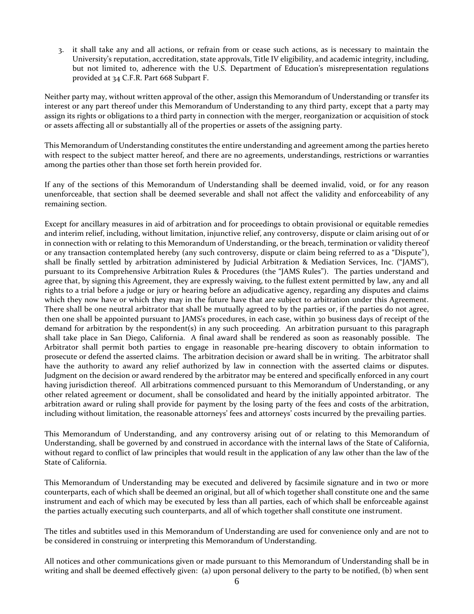3. it shall take any and all actions, or refrain from or cease such actions, as is necessary to maintain the University's reputation, accreditation, state approvals, Title IV eligibility, and academic integrity, including, but not limited to, adherence with the U.S. Department of Education's misrepresentation regulations provided at 34 C.F.R. Part 668 Subpart F.

Neither party may, without written approval of the other, assign this Memorandum of Understanding or transfer its interest or any part thereof under this Memorandum of Understanding to any third party, except that a party may assign its rights or obligations to a third party in connection with the merger, reorganization or acquisition of stock or assets affecting all or substantially all of the properties or assets of the assigning party.

This Memorandum of Understanding constitutes the entire understanding and agreement among the parties hereto with respect to the subject matter hereof, and there are no agreements, understandings, restrictions or warranties among the parties other than those set forth herein provided for.

If any of the sections of this Memorandum of Understanding shall be deemed invalid, void, or for any reason unenforceable, that section shall be deemed severable and shall not affect the validity and enforceability of any remaining section.

Except for ancillary measures in aid of arbitration and for proceedings to obtain provisional or equitable remedies and interim relief, including, without limitation, injunctive relief, any controversy, dispute or claim arising out of or in connection with or relating to this Memorandum of Understanding, or the breach, termination or validity thereof or any transaction contemplated hereby (any such controversy, dispute or claim being referred to as a "Dispute"), shall be finally settled by arbitration administered by Judicial Arbitration & Mediation Services, Inc. ("JAMS"), pursuant to its Comprehensive Arbitration Rules & Procedures (the "JAMS Rules"). The parties understand and agree that, by signing this Agreement, they are expressly waiving, to the fullest extent permitted by law, any and all rights to a trial before a judge or jury or hearing before an adjudicative agency, regarding any disputes and claims which they now have or which they may in the future have that are subject to arbitration under this Agreement. There shall be one neutral arbitrator that shall be mutually agreed to by the parties or, if the parties do not agree, then one shall be appointed pursuant to JAMS's procedures, in each case, within 30 business days of receipt of the demand for arbitration by the respondent(s) in any such proceeding. An arbitration pursuant to this paragraph shall take place in San Diego, California. A final award shall be rendered as soon as reasonably possible. The Arbitrator shall permit both parties to engage in reasonable pre-hearing discovery to obtain information to prosecute or defend the asserted claims. The arbitration decision or award shall be in writing. The arbitrator shall have the authority to award any relief authorized by law in connection with the asserted claims or disputes. Judgment on the decision or award rendered by the arbitrator may be entered and specifically enforced in any court having jurisdiction thereof. All arbitrations commenced pursuant to this Memorandum of Understanding, or any other related agreement or document, shall be consolidated and heard by the initially appointed arbitrator. The arbitration award or ruling shall provide for payment by the losing party of the fees and costs of the arbitration, including without limitation, the reasonable attorneys' fees and attorneys' costs incurred by the prevailing parties.

This Memorandum of Understanding, and any controversy arising out of or relating to this Memorandum of Understanding, shall be governed by and construed in accordance with the internal laws of the State of California, without regard to conflict of law principles that would result in the application of any law other than the law of the State of California.

This Memorandum of Understanding may be executed and delivered by facsimile signature and in two or more counterparts, each of which shall be deemed an original, but all of which together shall constitute one and the same instrument and each of which may be executed by less than all parties, each of which shall be enforceable against the parties actually executing such counterparts, and all of which together shall constitute one instrument.

The titles and subtitles used in this Memorandum of Understanding are used for convenience only and are not to be considered in construing or interpreting this Memorandum of Understanding.

All notices and other communications given or made pursuant to this Memorandum of Understanding shall be in writing and shall be deemed effectively given: (a) upon personal delivery to the party to be notified, (b) when sent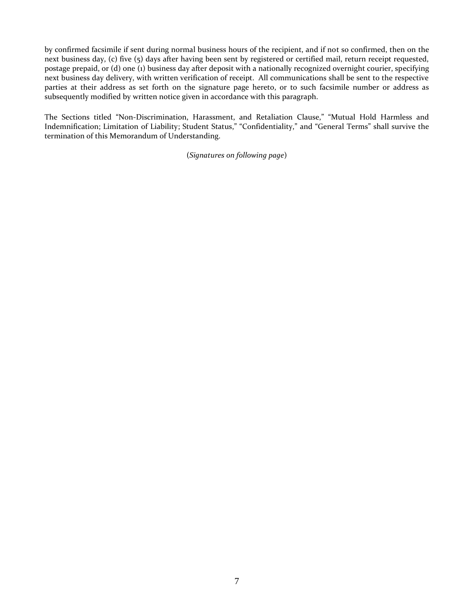by confirmed facsimile if sent during normal business hours of the recipient, and if not so confirmed, then on the next business day, (c) five (5) days after having been sent by registered or certified mail, return receipt requested, postage prepaid, or (d) one (1) business day after deposit with a nationally recognized overnight courier, specifying next business day delivery, with written verification of receipt. All communications shall be sent to the respective parties at their address as set forth on the signature page hereto, or to such facsimile number or address as subsequently modified by written notice given in accordance with this paragraph.

The Sections titled "Non-Discrimination, Harassment, and Retaliation Clause," "Mutual Hold Harmless and Indemnification; Limitation of Liability; Student Status," "Confidentiality," and "General Terms" shall survive the termination of this Memorandum of Understanding.

(*Signatures on following page*)